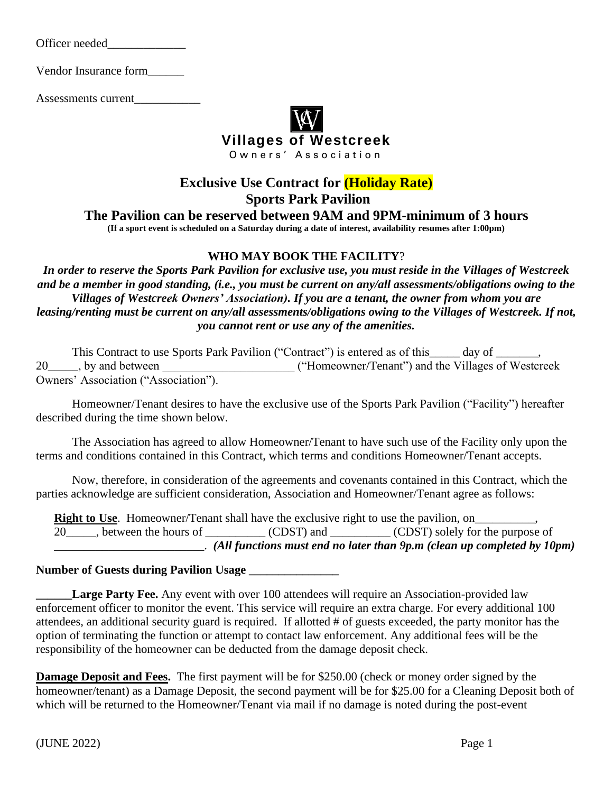Officer needed\_\_\_\_\_\_\_\_\_\_\_\_\_

Vendor Insurance form\_\_\_\_\_\_

Assessments current\_\_\_\_\_\_\_\_\_\_\_



# **Exclusive Use Contract for (Holiday Rate) Sports Park Pavilion**

**The Pavilion can be reserved between 9AM and 9PM-minimum of 3 hours**

**(If a sport event is scheduled on a Saturday during a date of interest, availability resumes after 1:00pm)**

## **WHO MAY BOOK THE FACILITY**?

*In order to reserve the Sports Park Pavilion for exclusive use, you must reside in the Villages of Westcreek and be a member in good standing, (i.e., you must be current on any/all assessments/obligations owing to the Villages of Westcreek Owners' Association). If you are a tenant, the owner from whom you are leasing/renting must be current on any/all assessments/obligations owing to the Villages of Westcreek. If not, you cannot rent or use any of the amenities.*

|                                      | This Contract to use Sports Park Pavilion ("Contract") is entered as of this _____ day of _______ |  |
|--------------------------------------|---------------------------------------------------------------------------------------------------|--|
| 20 <sub>_____</sub> , by and between | ("Homeowner/Tenant") and the Villages of Westcreek                                                |  |
| Owners' Association ("Association"). |                                                                                                   |  |

Homeowner/Tenant desires to have the exclusive use of the Sports Park Pavilion ("Facility") hereafter described during the time shown below.

The Association has agreed to allow Homeowner/Tenant to have such use of the Facility only upon the terms and conditions contained in this Contract, which terms and conditions Homeowner/Tenant accepts.

Now, therefore, in consideration of the agreements and covenants contained in this Contract, which the parties acknowledge are sufficient consideration, Association and Homeowner/Tenant agree as follows:

**Right to Use**. Homeowner/Tenant shall have the exclusive right to use the pavilion, on 20<sup>th</sup>, between the hours of \_\_\_\_\_\_\_\_ (CDST) and \_\_\_\_\_\_\_\_ (CDST) solely for the purpose of \_\_\_\_\_\_\_\_\_\_\_\_\_\_\_\_\_\_\_\_\_\_\_\_\_. *(All functions must end no later than 9p.m (clean up completed by 10pm)*

### **Number of Guests during Pavilion Usage \_\_\_\_\_\_\_\_\_\_\_\_\_\_\_**

**Large Party Fee.** Any event with over 100 attendees will require an Association-provided law enforcement officer to monitor the event. This service will require an extra charge. For every additional 100 attendees, an additional security guard is required. If allotted # of guests exceeded, the party monitor has the option of terminating the function or attempt to contact law enforcement. Any additional fees will be the responsibility of the homeowner can be deducted from the damage deposit check.

**Damage Deposit and Fees.** The first payment will be for \$250.00 (check or money order signed by the homeowner/tenant) as a Damage Deposit, the second payment will be for \$25.00 for a Cleaning Deposit both of which will be returned to the Homeowner/Tenant via mail if no damage is noted during the post-event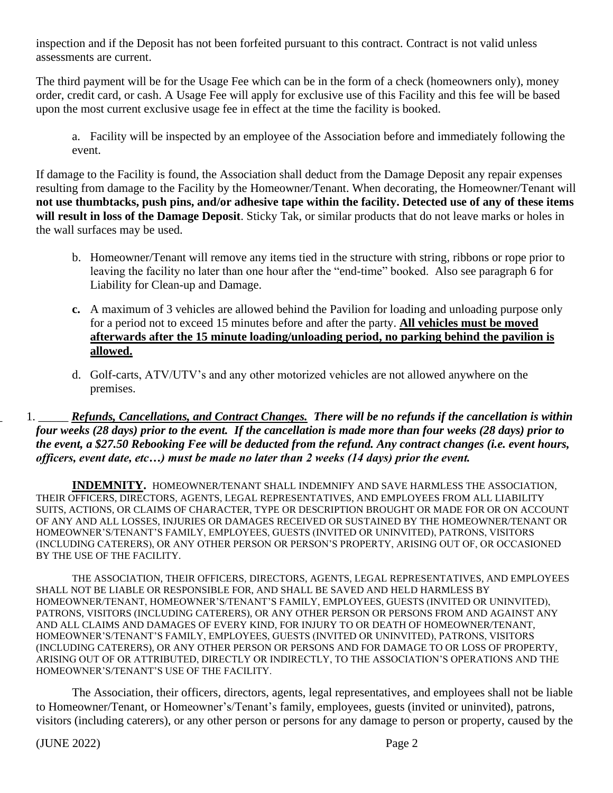inspection and if the Deposit has not been forfeited pursuant to this contract*.* Contract is not valid unless assessments are current.

The third payment will be for the Usage Fee which can be in the form of a check (homeowners only), money order, credit card, or cash. A Usage Fee will apply for exclusive use of this Facility and this fee will be based upon the most current exclusive usage fee in effect at the time the facility is booked.

a. Facility will be inspected by an employee of the Association before and immediately following the event.

If damage to the Facility is found, the Association shall deduct from the Damage Deposit any repair expenses resulting from damage to the Facility by the Homeowner/Tenant. When decorating, the Homeowner/Tenant will **not use thumbtacks, push pins, and/or adhesive tape within the facility. Detected use of any of these items will result in loss of the Damage Deposit**. Sticky Tak, or similar products that do not leave marks or holes in the wall surfaces may be used.

- b. Homeowner/Tenant will remove any items tied in the structure with string, ribbons or rope prior to leaving the facility no later than one hour after the "end-time" booked. Also see paragraph 6 for Liability for Clean-up and Damage.
- **c.** A maximum of 3 vehicles are allowed behind the Pavilion for loading and unloading purpose only for a period not to exceed 15 minutes before and after the party. **All vehicles must be moved afterwards after the 15 minute loading/unloading period, no parking behind the pavilion is allowed.**
- d. Golf-carts, ATV/UTV's and any other motorized vehicles are not allowed anywhere on the premises.

#### \_ 1. \_\_\_\_\_ *Refunds, Cancellations, and Contract Changes. There will be no refunds if the cancellation is within four weeks (28 days) prior to the event. If the cancellation is made more than four weeks (28 days) prior to the event, a \$27.50 Rebooking Fee will be deducted from the refund. Any contract changes (i.e. event hours, officers, event date, etc…) must be made no later than 2 weeks (14 days) prior the event.*

**INDEMNITY.** HOMEOWNER/TENANT SHALL INDEMNIFY AND SAVE HARMLESS THE ASSOCIATION, THEIR OFFICERS, DIRECTORS, AGENTS, LEGAL REPRESENTATIVES, AND EMPLOYEES FROM ALL LIABILITY SUITS, ACTIONS, OR CLAIMS OF CHARACTER, TYPE OR DESCRIPTION BROUGHT OR MADE FOR OR ON ACCOUNT OF ANY AND ALL LOSSES, INJURIES OR DAMAGES RECEIVED OR SUSTAINED BY THE HOMEOWNER/TENANT OR HOMEOWNER'S/TENANT'S FAMILY, EMPLOYEES, GUESTS (INVITED OR UNINVITED), PATRONS, VISITORS (INCLUDING CATERERS), OR ANY OTHER PERSON OR PERSON'S PROPERTY, ARISING OUT OF, OR OCCASIONED BY THE USE OF THE FACILITY.

THE ASSOCIATION, THEIR OFFICERS, DIRECTORS, AGENTS, LEGAL REPRESENTATIVES, AND EMPLOYEES SHALL NOT BE LIABLE OR RESPONSIBLE FOR, AND SHALL BE SAVED AND HELD HARMLESS BY HOMEOWNER/TENANT, HOMEOWNER'S/TENANT'S FAMILY, EMPLOYEES, GUESTS (INVITED OR UNINVITED), PATRONS, VISITORS (INCLUDING CATERERS), OR ANY OTHER PERSON OR PERSONS FROM AND AGAINST ANY AND ALL CLAIMS AND DAMAGES OF EVERY KIND, FOR INJURY TO OR DEATH OF HOMEOWNER/TENANT, HOMEOWNER'S/TENANT'S FAMILY, EMPLOYEES, GUESTS (INVITED OR UNINVITED), PATRONS, VISITORS (INCLUDING CATERERS), OR ANY OTHER PERSON OR PERSONS AND FOR DAMAGE TO OR LOSS OF PROPERTY, ARISING OUT OF OR ATTRIBUTED, DIRECTLY OR INDIRECTLY, TO THE ASSOCIATION'S OPERATIONS AND THE HOMEOWNER'S/TENANT'S USE OF THE FACILITY.

The Association, their officers, directors, agents, legal representatives, and employees shall not be liable to Homeowner/Tenant, or Homeowner's/Tenant's family, employees, guests (invited or uninvited), patrons, visitors (including caterers), or any other person or persons for any damage to person or property, caused by the

(JUNE 2022) Page 2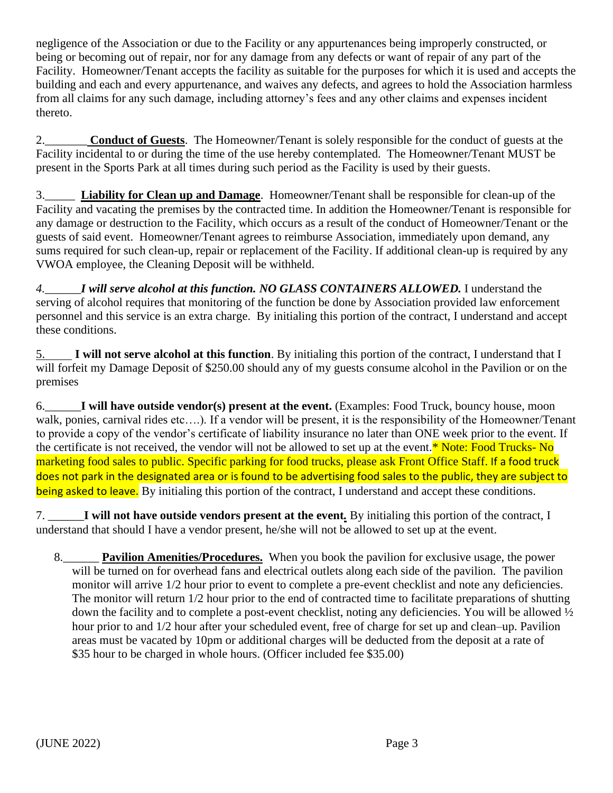negligence of the Association or due to the Facility or any appurtenances being improperly constructed, or being or becoming out of repair, nor for any damage from any defects or want of repair of any part of the Facility. Homeowner/Tenant accepts the facility as suitable for the purposes for which it is used and accepts the building and each and every appurtenance, and waives any defects, and agrees to hold the Association harmless from all claims for any such damage, including attorney's fees and any other claims and expenses incident thereto.

2.\_\_\_\_\_\_\_ **Conduct of Guests**. The Homeowner/Tenant is solely responsible for the conduct of guests at the Facility incidental to or during the time of the use hereby contemplated. The Homeowner/Tenant MUST be present in the Sports Park at all times during such period as the Facility is used by their guests.

3.\_\_\_\_\_ **Liability for Clean up and Damage**. Homeowner/Tenant shall be responsible for clean-up of the Facility and vacating the premises by the contracted time. In addition the Homeowner/Tenant is responsible for any damage or destruction to the Facility, which occurs as a result of the conduct of Homeowner/Tenant or the guests of said event. Homeowner/Tenant agrees to reimburse Association, immediately upon demand, any sums required for such clean-up, repair or replacement of the Facility. If additional clean-up is required by any VWOA employee, the Cleaning Deposit will be withheld.

*4.\_\_\_\_\_\_I will serve alcohol at this function. NO GLASS CONTAINERS ALLOWED.* I understand the serving of alcohol requires that monitoring of the function be done by Association provided law enforcement personnel and this service is an extra charge. By initialing this portion of the contract, I understand and accept these conditions.

5. **I will not serve alcohol at this function**. By initialing this portion of the contract, I understand that I will forfeit my Damage Deposit of \$250.00 should any of my guests consume alcohol in the Pavilion or on the premises

6.\_\_\_\_\_\_**I will have outside vendor(s) present at the event.** (Examples: Food Truck, bouncy house, moon walk, ponies, carnival rides etc....). If a vendor will be present, it is the responsibility of the Homeowner/Tenant to provide a copy of the vendor's certificate of liability insurance no later than ONE week prior to the event. If the certificate is not received, the vendor will not be allowed to set up at the event.<sup>\*</sup> Note: Food Trucks- No marketing food sales to public. Specific parking for food trucks, please ask Front Office Staff. If a food truck does not park in the designated area or is found to be advertising food sales to the public, they are subject to being asked to leave. By initialing this portion of the contract, I understand and accept these conditions.

7. \_\_\_\_\_\_**I will not have outside vendors present at the event***.* By initialing this portion of the contract, I understand that should I have a vendor present, he/she will not be allowed to set up at the event.

8.\_\_\_\_\_\_ **Pavilion Amenities/Procedures.** When you book the pavilion for exclusive usage, the power will be turned on for overhead fans and electrical outlets along each side of the pavilion. The pavilion monitor will arrive 1/2 hour prior to event to complete a pre-event checklist and note any deficiencies. The monitor will return 1/2 hour prior to the end of contracted time to facilitate preparations of shutting down the facility and to complete a post-event checklist, noting any deficiencies. You will be allowed ½ hour prior to and  $1/2$  hour after your scheduled event, free of charge for set up and clean–up. Pavilion areas must be vacated by 10pm or additional charges will be deducted from the deposit at a rate of \$35 hour to be charged in whole hours. (Officer included fee \$35.00)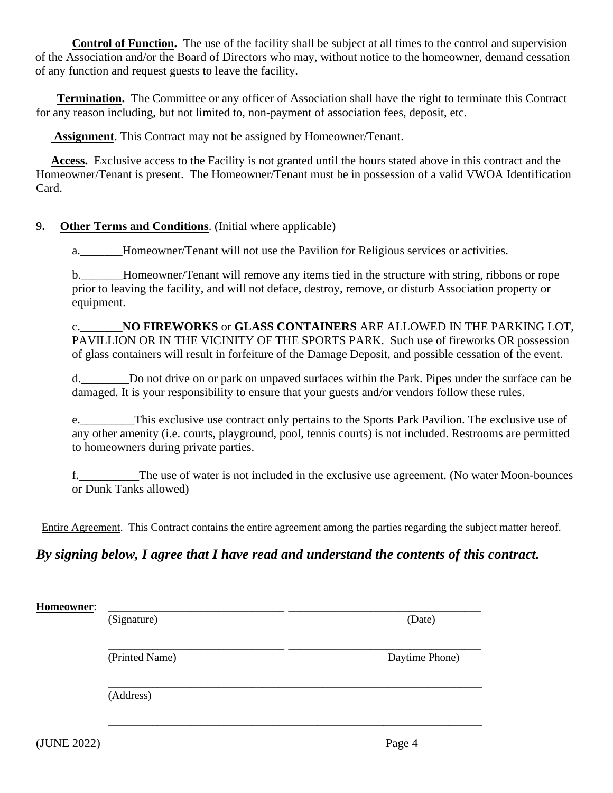**Control of Function.** The use of the facility shall be subject at all times to the control and supervision of the Association and/or the Board of Directors who may, without notice to the homeowner, demand cessation of any function and request guests to leave the facility.

 **Termination.** The Committee or any officer of Association shall have the right to terminate this Contract for any reason including, but not limited to, non-payment of association fees, deposit, etc.

 **Assignment**. This Contract may not be assigned by Homeowner/Tenant.

 **Access.** Exclusive access to the Facility is not granted until the hours stated above in this contract and the Homeowner/Tenant is present. The Homeowner/Tenant must be in possession of a valid VWOA Identification Card.

## 9**. Other Terms and Conditions**. (Initial where applicable)

a. Homeowner/Tenant will not use the Pavilion for Religious services or activities.

b.\_\_\_\_\_\_\_Homeowner/Tenant will remove any items tied in the structure with string, ribbons or rope prior to leaving the facility, and will not deface, destroy, remove, or disturb Association property or equipment.

c.\_\_\_\_\_\_\_**NO FIREWORKS** or **GLASS CONTAINERS** ARE ALLOWED IN THE PARKING LOT, PAVILLION OR IN THE VICINITY OF THE SPORTS PARK. Such use of fireworks OR possession of glass containers will result in forfeiture of the Damage Deposit, and possible cessation of the event.

d.\_\_\_\_\_\_\_\_Do not drive on or park on unpaved surfaces within the Park. Pipes under the surface can be damaged. It is your responsibility to ensure that your guests and/or vendors follow these rules.

e. This exclusive use contract only pertains to the Sports Park Pavilion. The exclusive use of any other amenity (i.e. courts, playground, pool, tennis courts) is not included. Restrooms are permitted to homeowners during private parties.

f. The use of water is not included in the exclusive use agreement. (No water Moon-bounces or Dunk Tanks allowed)

Entire Agreement. This Contract contains the entire agreement among the parties regarding the subject matter hereof.

# *By signing below, I agree that I have read and understand the contents of this contract.*

| (Signature)    | (Date)         |
|----------------|----------------|
| (Printed Name) | Daytime Phone) |
| (Address)      |                |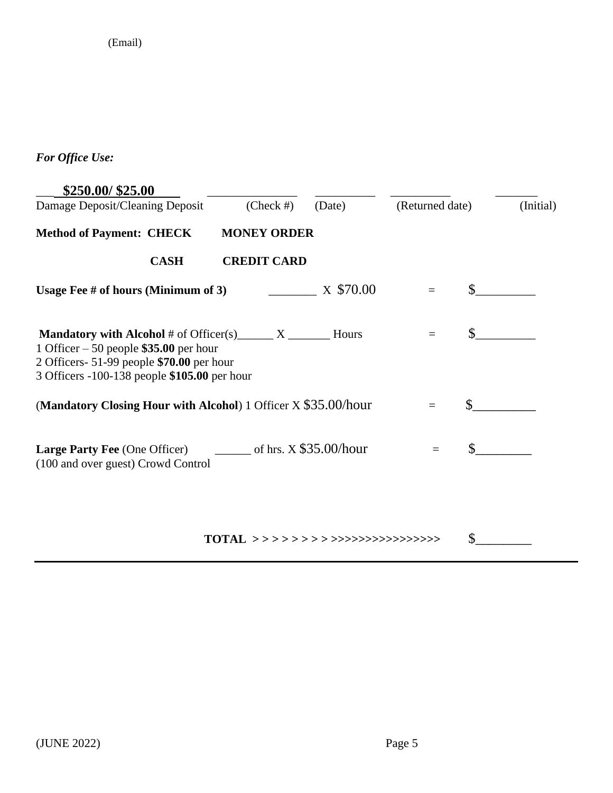(Email)

*For Office Use:*

| \$250.00/\$25.00                                                                                                                                                                                                       |                               |           |                 |           |
|------------------------------------------------------------------------------------------------------------------------------------------------------------------------------------------------------------------------|-------------------------------|-----------|-----------------|-----------|
| Damage Deposit/Cleaning Deposit                                                                                                                                                                                        | $(Check \#)$                  | (Date)    | (Returned date) | (Initial) |
| <b>Method of Payment: CHECK</b>                                                                                                                                                                                        | <b>MONEY ORDER</b>            |           |                 |           |
| <b>CASH</b>                                                                                                                                                                                                            | <b>CREDIT CARD</b>            |           |                 |           |
| Usage Fee $#$ of hours (Minimum of 3)                                                                                                                                                                                  |                               | X \$70.00 | $\equiv$        |           |
| <b>Mandatory with Alcohol</b> # of Officer(s) $\_\_\_\_X$ $\_\_\_\_\_\_$ Hours<br>1 Officer $-50$ people \$35.00 per hour<br>2 Officers- 51-99 people \$70.00 per hour<br>3 Officers -100-138 people \$105.00 per hour |                               |           | $\equiv$        | \$        |
| (Mandatory Closing Hour with Alcohol) 1 Officer X \$35.00/hour                                                                                                                                                         |                               |           | $\equiv$        |           |
| <b>Large Party Fee</b> (One Officer) $\qquad \qquad \qquad$ ________ of hrs. X \$35.00/hour<br>(100 and over guest) Crowd Control                                                                                      |                               |           |                 |           |
|                                                                                                                                                                                                                        | TOTAL >> >> >> >> >> >> >> >> |           |                 | \$        |